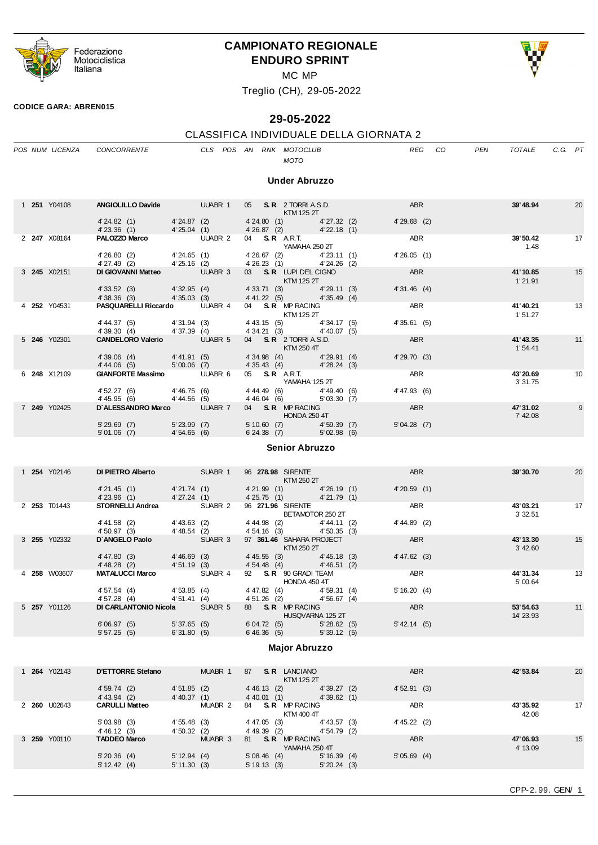

### **CAMPIONATO REGIONALE ENDURO SPRINT**



MC MP

Treglio (CH), 29-05-2022

#### **CODICE GARA: ABREN015**

## **29-05-2022**

# CLASSIFICA INDIVIDUALE DELLA GIORNATA 2

|  |                     | POS NUM LICENZA CONCORRENTE                                                                                        |                |  |  | CLS POS AN RNK MOTOCLUB<br><b>MOTO</b>                     |  | REG            | CO. | PEN | TOTALE               | C.G. PT |    |
|--|---------------------|--------------------------------------------------------------------------------------------------------------------|----------------|--|--|------------------------------------------------------------|--|----------------|-----|-----|----------------------|---------|----|
|  |                     |                                                                                                                    |                |  |  | <b>Under Abruzzo</b>                                       |  |                |     |     |                      |         |    |
|  | 1 <b>251</b> Y04108 | <b>ANGIOLILLO Davide UUABR 1</b>                                                                                   |                |  |  | 05 S.R. 2 TORRI A.S.D.<br>KTM 125 2T                       |  | <b>ABR</b>     |     |     | 39'48.94             |         | 20 |
|  |                     | 4'24.82 (1) 4'24.87 (2)<br>$4'23.36$ (1) $4'25.04$ (1)                                                             |                |  |  | 4'24.80 (1) 4'27.32 (2)<br>4'26.87 (2) 4'22.18 (1)         |  | $4'29.68$ (2)  |     |     |                      |         |    |
|  | 2 247 X08164        | <b>PALOZZO Marco</b> UUABR 2                                                                                       |                |  |  | 04 S.R. A.R.T.<br>YAMAHA 250 2T                            |  | ABR            |     |     | 39' 50.42<br>1.48    |         | 17 |
|  |                     | 4' 26.80 (2) 4' 24.65 (1)<br>4'27.49 (2) 4'25.16 (2)                                                               |                |  |  | 4'26.67 (2) 4'23.11 (1)<br>4'26.23 (1) 4'24.26 (2)         |  | 4'26.05(1)     |     |     |                      |         |    |
|  | 3 245 X02151        | DI GIOVANNI Matteo UUABR 3                                                                                         |                |  |  | 03 S.R. LUPI DEL CIGNO<br><b>KTM 125 2T</b>                |  | ABR            |     |     | 41'10.85<br>1'21.91  |         | 15 |
|  |                     | $4'33.52$ (3) $4'32.95$ (4)<br>4'38.36 (3) 4'35.03 (3)                                                             |                |  |  | 4'33.71 (3) 4'29.11 (3)<br>4'41.22 (5) 4'35.49 (4)         |  | 4'31.46(4)     |     |     |                      |         |    |
|  | 4 252 Y04531        | <b>PASQUARELLI Riccardo UUABR 4</b>                                                                                |                |  |  | 04 S.R. MPRACING<br>KTM 125 2T                             |  | ABR            |     |     | 41'40.21<br>1'51.27  |         | 13 |
|  |                     | $4'44.37$ (5) $4'31.94$ (3)<br>4'39.30(4)                                                                          | 4'37.39(4)     |  |  | 4' 43.15 (5) 4' 34.17 (5)<br>$4'34.21(3)$ $4'40.07(5)$     |  | 4'35.61(5)     |     |     |                      |         |    |
|  | 5 246 Y02301        | <b>CANDELORO Valerio</b> UUABR 5                                                                                   |                |  |  | 04 S.R. 2 TORRI A.S.D.<br>KTM 250 4T                       |  | <b>ABR</b>     |     |     | 41'43.35<br>1'54.41  |         | 11 |
|  |                     | 4' 39.06 (4) 4' 41.91 (5)<br>$5'00.06$ (7)<br>4' 44.06 (5)                                                         |                |  |  | 4'34.98 (4) 4'29.91 (4)<br>4'35.43 (4) 4'28.24 (3)         |  | 4'29.70(3)     |     |     |                      |         |    |
|  | 6 248 X12109        | <b>GIANFORTE Massimo UUABR 6</b>                                                                                   |                |  |  | 05 S.R. ART.<br>YAMAHA 125 2T                              |  | ABR            |     |     | 43'20.69<br>3' 31.75 |         | 10 |
|  |                     | 4' 52.27 (6) 4' 46.75 (6)<br>4' 45.95 (6)                                                                          | $4' 44.56$ (5) |  |  | 4' 44.49 (6) 4' 49.40 (6)<br>4'46.04 (6) 5'03.30 (7)       |  | $4' 47.93$ (6) |     |     |                      |         |    |
|  | 7 249 Y02425        | D'ALESSANDRO Marco UUABR 7                                                                                         |                |  |  | 04 S.R. MP RACING<br><b>HONDA 250 4T</b>                   |  | ABR            |     |     | 47' 31.02<br>7'42.08 |         | 9  |
|  |                     | 5'29.69 (7) 5'23.99 (7)<br>$5'01.06$ (7) $4'54.65$ (6)                                                             |                |  |  | 5' 10.60 (7) 4' 59.39 (7)<br>$6'$ 24.38 (7) $5'$ 02.98 (6) |  | 5'04.28(7)     |     |     |                      |         |    |
|  |                     |                                                                                                                    |                |  |  | <b>Senior Abruzzo</b>                                      |  |                |     |     |                      |         |    |
|  |                     |                                                                                                                    |                |  |  |                                                            |  |                |     |     |                      |         |    |
|  | 1 <b>254</b> Y02146 | DI PIETRO Alberto                                                                                                  | <b>SUABR 1</b> |  |  | 96 278.98 SIRENTE<br>KTM 250 2T                            |  | ABR            |     |     | 39'30.70             |         | 20 |
|  |                     | $4'21.45$ (1) $4'21.74$ (1) $4'21.99$ (1) $4'26.19$ (1)<br>$4'23.96$ (1) $4'27.24$ (1) $4'25.75$ (1) $4'21.79$ (1) |                |  |  |                                                            |  | 4'20.59(1)     |     |     |                      |         |    |
|  | 2 253 T01443        | <b>STORNELLI Andrea</b> SUABR 2                                                                                    |                |  |  | 96 271.96 SIRENTE<br>BETAMOTOR 250 2T                      |  | ABR            |     |     | 43'03.21<br>3' 32.51 |         | 17 |

|  |                     |                              |                |                    |                | BETAMOTOR 250 21                       |                | 332.51                |    |
|--|---------------------|------------------------------|----------------|--------------------|----------------|----------------------------------------|----------------|-----------------------|----|
|  |                     | $4' 41.58$ (2)               | $4' 43.63$ (2) |                    | 4' 44.98 (2)   | 4'44.11 (2)                            | 4'44.89 (2)    |                       |    |
|  |                     | 4' 50.97 (3)                 | $4' 48.54$ (2) |                    | 4'54.16(3)     | 4'50.35(3)                             |                |                       |    |
|  | 3 <b>255</b> Y02332 | D'ANGELO Paolo               |                | SUABR 3            |                | 97 361.46 SAHARA PROJECT<br>KTM 250 2T | <b>ABR</b>     | 43' 13.30<br>3' 42.60 | 15 |
|  |                     | 4' 47.80(3)                  | 4'46.69(3)     |                    | $4' 45.55$ (3) | $4' 45.18$ (3)                         | 4' 47.62 (3)   |                       |    |
|  |                     | $4' 48.28$ (2)               | 4'51.19(3)     |                    | 4'54.48(4)     | 4'46.51(2)                             |                |                       |    |
|  | 4 258 W03607        | <b>MATALUCCI Marco</b>       |                | SUABR 4            |                | 92 S.R. 90 GRADI TEAM                  | <b>ABR</b>     | 44'31.34              | 13 |
|  |                     |                              |                |                    |                | HONDA 450 4T                           |                | 5'00.64               |    |
|  |                     | 4' 57.54 (4)                 | 4'53.85(4)     |                    | 4'47.82 (4)    | 4'59.31(4)                             | 5'16.20(4)     |                       |    |
|  |                     | 4'57.28(4)                   | 4'51.41(4)     |                    | 4'51.26(2)     | 4'56.67(4)                             |                |                       |    |
|  | 5 257 Y01126        | <b>DI CARLANTONIO Nicola</b> |                | SUABR <sub>5</sub> |                | 88 S.R. MP RACING                      | <b>ABR</b>     | 53'54.63              | 11 |
|  |                     |                              |                |                    |                | HUSQVARNA 125 2T                       |                | 14' 23.93             |    |
|  |                     | 6'06.97(5)                   | 5'37.65(5)     |                    | 6'04.72(5)     | 5'28.62(5)                             | $5'$ 42.14 (5) |                       |    |
|  |                     | 5'57.25(5)                   | 6'31.80(5)     |                    | 6' 46.36 (5)   | 5'39.12(5)                             |                |                       |    |
|  |                     |                              |                |                    |                |                                        |                |                       |    |

#### **Major Abruzzo**

| 1 264 | Y02143              | <b>D'ETTORRE Stefano</b>     | MUABR 1                        | <b>S.R.</b> LANCIANO<br>87<br>KTM 125 2T                     | <b>ABR</b>     | 42'53.84             | 20 |
|-------|---------------------|------------------------------|--------------------------------|--------------------------------------------------------------|----------------|----------------------|----|
|       |                     | 4'59.74(2)<br>$4' 43.94$ (2) | 4'51.85(2)<br>4' 40.37(1)      | 4'39.27(2)<br>$4' 46.13$ (2)<br>4' 40.01 (1)<br>4'39.62(1)   | 4'52.91(3)     |                      |    |
|       | 2 <b>260</b> U02643 | <b>CARULLI Matteo</b>        | MUABR 2                        | <b>S.R.</b> MP RACING<br>84<br>KTM 400 4T                    | <b>ABR</b>     | 43'35.92<br>42.08    | 17 |
|       |                     | 5'03.98(3)<br>4' 46.12 (3)   | 4'55.48(3)<br>4'50.32(2)       | $4' 43.57$ (3)<br>4'47.05 (3)<br>4' 49.39 (2)<br>4'54.79 (2) | $4' 45.22$ (2) |                      |    |
|       | 3 <b>259</b> Y00110 | <b>TADDEO Marco</b>          | MUABR <sub>3</sub>             | <b>S.R.</b> MP RACING<br>81<br>YAMAHA 250 4T                 | <b>ABR</b>     | 47'06.93<br>4' 13.09 | 15 |
|       |                     | 5'20.36(4)<br>$5' 12.42$ (4) | $5' 12.94$ (4)<br>5' 11.30 (3) | 5' 16.39(4)<br>5'08.46(4)<br>5'20.24(3)<br>5'19.13(3)        | 5'05.69(4)     |                      |    |